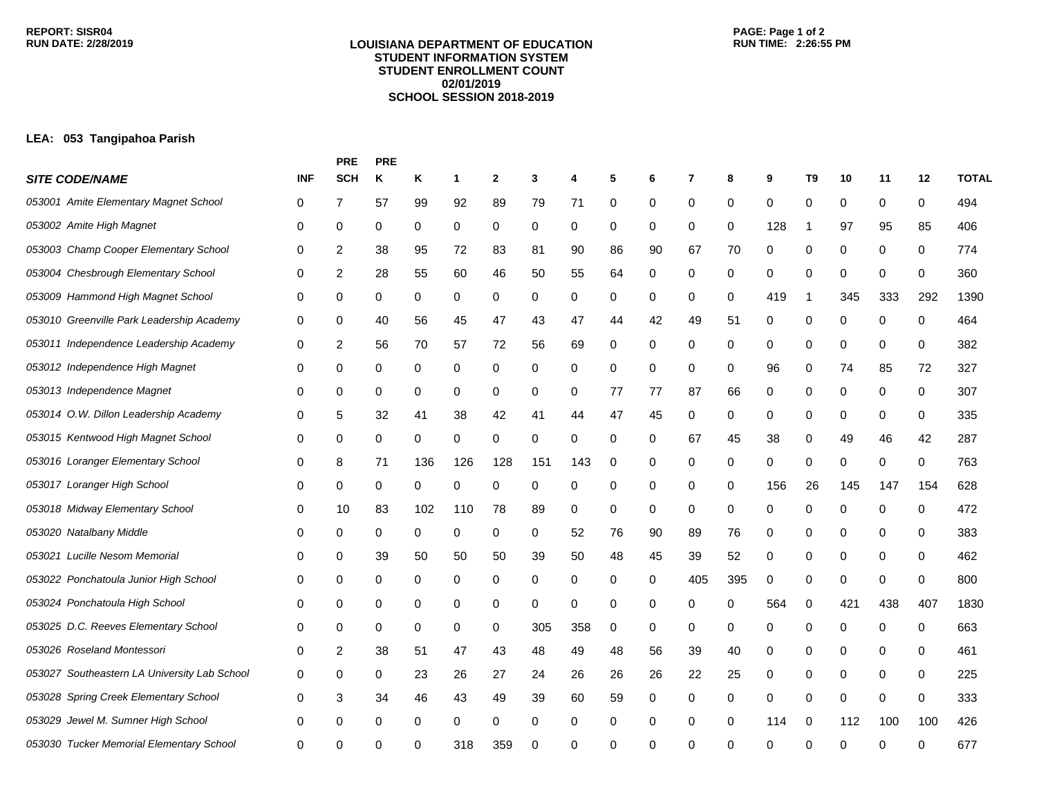## **LOUISIANA DEPARTMENT OF EDUCATION STUDENT INFORMATION SYSTEM STUDENT ENROLLMENT COUNT 02/01/2019 SCHOOL SESSION 2018-2019**

## **LEA: 053 Tangipahoa Parish**

|                                              |            | <b>PRE</b> | PRE |     |     |              |             |     |    |    |     |     |          |             |     |             |              |              |
|----------------------------------------------|------------|------------|-----|-----|-----|--------------|-------------|-----|----|----|-----|-----|----------|-------------|-----|-------------|--------------|--------------|
| <b>SITE CODE/NAME</b>                        | <b>INF</b> | <b>SCH</b> | Κ   | Κ   | 1   | $\mathbf{2}$ | 3           | 4   | 5  | 6  | 7   | 8   | 9        | T9          | 10  | 11          | 12           | <b>TOTAL</b> |
| 053001 Amite Elementary Magnet School        | 0          | 7          | 57  | 99  | 92  | 89           | 79          | 71  | 0  | 0  | 0   | 0   | 0        | 0           | 0   | 0           | 0            | 494          |
| 053002 Amite High Magnet                     | 0          | 0          | 0   | 0   | 0   | 0            | 0           | 0   | 0  | 0  | 0   | 0   | 128      | -1          | 97  | 95          | 85           | 406          |
| 053003 Champ Cooper Elementary School        | 0          | 2          | 38  | 95  | 72  | 83           | 81          | 90  | 86 | 90 | 67  | 70  | 0        | 0           | 0   | 0           | 0            | 774          |
| 053004 Chesbrough Elementary School          | 0          | 2          | 28  | 55  | 60  | 46           | 50          | 55  | 64 | 0  | 0   | 0   | 0        | 0           | 0   | 0           | 0            | 360          |
| 053009 Hammond High Magnet School            | 0          | 0          | 0   | 0   | 0   | 0            | 0           | 0   | 0  | 0  | 0   | 0   | 419      | -1          | 345 | 333         | 292          | 1390         |
| 053010 Greenville Park Leadership Academy    | 0          | 0          | 40  | 56  | 45  | 47           | 43          | 47  | 44 | 42 | 49  | 51  | 0        | 0           | 0   | 0           | 0            | 464          |
| 053011 Independence Leadership Academy       | 0          | 2          | 56  | 70  | 57  | 72           | 56          | 69  | 0  | 0  | 0   | 0   | 0        | 0           | 0   | 0           | 0            | 382          |
| 053012 Independence High Magnet              | 0          | 0          | 0   | 0   | 0   | 0            | 0           | 0   | 0  | 0  | 0   | 0   | 96       | 0           | 74  | 85          | 72           | 327          |
| 053013 Independence Magnet                   | 0          | 0          | 0   | 0   | 0   | 0            | 0           | 0   | 77 | 77 | 87  | 66  | 0        | 0           | 0   | 0           | 0            | 307          |
| 053014 O.W. Dillon Leadership Academy        | 0          | 5          | 32  | 41  | 38  | 42           | 41          | 44  | 47 | 45 | 0   | 0   | 0        | 0           | 0   | 0           | 0            | 335          |
| 053015 Kentwood High Magnet School           | 0          | 0          | 0   | 0   | 0   | 0            | 0           | 0   | 0  | 0  | 67  | 45  | 38       | 0           | 49  | 46          | 42           | 287          |
| 053016 Loranger Elementary School            | 0          | 8          | 71  | 136 | 126 | 128          | 151         | 143 | 0  | 0  | 0   | 0   | 0        | 0           | 0   | 0           | 0            | 763          |
| 053017 Loranger High School                  | 0          | 0          | 0   | 0   | 0   | 0            | 0           | 0   | 0  | 0  | 0   | 0   | 156      | 26          | 145 | 147         | 154          | 628          |
| 053018 Midway Elementary School              | 0          | 10         | 83  | 102 | 110 | 78           | 89          | 0   | 0  | 0  | 0   | 0   | 0        | 0           | 0   | 0           | 0            | 472          |
| 053020 Natalbany Middle                      | 0          | 0          | 0   | 0   | 0   | 0            | 0           | 52  | 76 | 90 | 89  | 76  | 0        | 0           | 0   | 0           | 0            | 383          |
| 053021<br>Lucille Nesom Memorial             | 0          | 0          | 39  | 50  | 50  | 50           | 39          | 50  | 48 | 45 | 39  | 52  | 0        | 0           | 0   | 0           | 0            | 462          |
| 053022 Ponchatoula Junior High School        | 0          | 0          | 0   | 0   | 0   | 0            | 0           | 0   | 0  | 0  | 405 | 395 | 0        | 0           | 0   | 0           | 0            | 800          |
| 053024 Ponchatoula High School               | 0          | 0          | 0   | 0   | 0   | 0            | $\mathbf 0$ | 0   | 0  | 0  | 0   | 0   | 564      | 0           | 421 | 438         | 407          | 1830         |
| 053025 D.C. Reeves Elementary School         | 0          | 0          | 0   | 0   | 0   | 0            | 305         | 358 | 0  | 0  | 0   | 0   | 0        | 0           | 0   | 0           | 0            | 663          |
| 053026 Roseland Montessori                   | 0          | 2          | 38  | 51  | 47  | 43           | 48          | 49  | 48 | 56 | 39  | 40  | 0        | 0           | 0   | 0           | 0            | 461          |
| 053027 Southeastern LA University Lab School | 0          | 0          | 0   | 23  | 26  | 27           | 24          | 26  | 26 | 26 | 22  | 25  | 0        | 0           | 0   | 0           | 0            | 225          |
| 053028 Spring Creek Elementary School        | 0          | 3          | 34  | 46  | 43  | 49           | 39          | 60  | 59 | 0  | 0   | 0   | 0        | $\mathbf 0$ | 0   | $\mathbf 0$ | 0            | 333          |
| 053029 Jewel M. Sumner High School           | 0          | 0          | 0   | 0   | 0   | 0            | 0           | 0   | 0  | 0  | 0   | 0   | 114      | 0           | 112 | 100         | 100          | 426          |
| 053030 Tucker Memorial Elementary School     | 0          | ∩          | ∩   | ∩   | 318 | 359          | 0           | 0   | 0  | ŋ  | O   | ∩   | $\Omega$ | $\Omega$    | U   | O           | <sup>0</sup> | 677          |